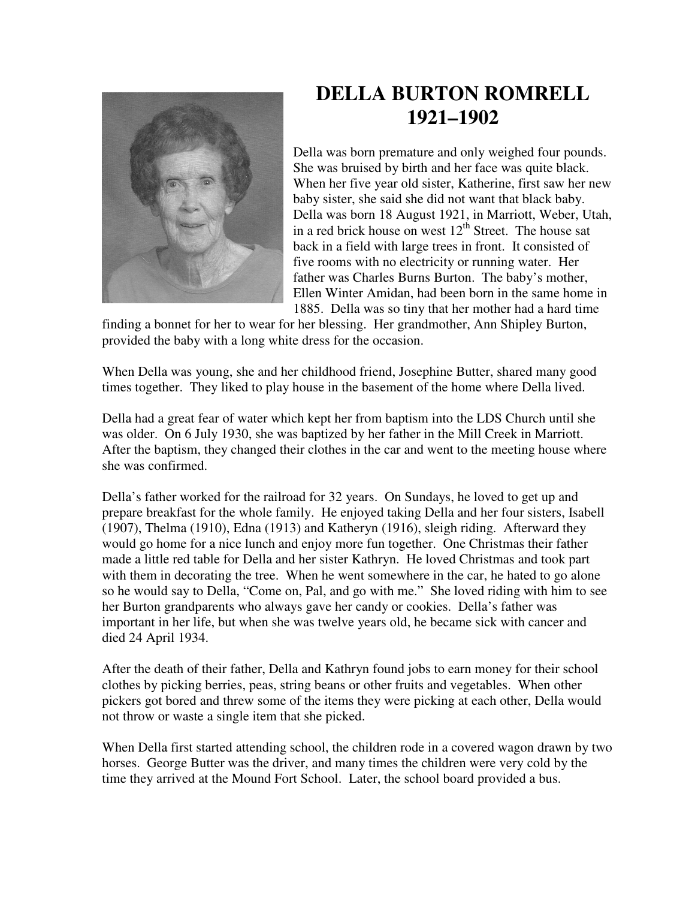

## **DELLA BURTON ROMRELL 1921–1902**

Della was born premature and only weighed four pounds. She was bruised by birth and her face was quite black. When her five year old sister, Katherine, first saw her new baby sister, she said she did not want that black baby. Della was born 18 August 1921, in Marriott, Weber, Utah, in a red brick house on west  $12^{th}$  Street. The house sat back in a field with large trees in front. It consisted of five rooms with no electricity or running water. Her father was Charles Burns Burton. The baby's mother, Ellen Winter Amidan, had been born in the same home in 1885. Della was so tiny that her mother had a hard time

finding a bonnet for her to wear for her blessing. Her grandmother, Ann Shipley Burton, provided the baby with a long white dress for the occasion.

When Della was young, she and her childhood friend, Josephine Butter, shared many good times together. They liked to play house in the basement of the home where Della lived.

Della had a great fear of water which kept her from baptism into the LDS Church until she was older. On 6 July 1930, she was baptized by her father in the Mill Creek in Marriott. After the baptism, they changed their clothes in the car and went to the meeting house where she was confirmed.

Della's father worked for the railroad for 32 years. On Sundays, he loved to get up and prepare breakfast for the whole family. He enjoyed taking Della and her four sisters, Isabell (1907), Thelma (1910), Edna (1913) and Katheryn (1916), sleigh riding. Afterward they would go home for a nice lunch and enjoy more fun together. One Christmas their father made a little red table for Della and her sister Kathryn. He loved Christmas and took part with them in decorating the tree. When he went somewhere in the car, he hated to go alone so he would say to Della, "Come on, Pal, and go with me." She loved riding with him to see her Burton grandparents who always gave her candy or cookies. Della's father was important in her life, but when she was twelve years old, he became sick with cancer and died 24 April 1934.

After the death of their father, Della and Kathryn found jobs to earn money for their school clothes by picking berries, peas, string beans or other fruits and vegetables. When other pickers got bored and threw some of the items they were picking at each other, Della would not throw or waste a single item that she picked.

When Della first started attending school, the children rode in a covered wagon drawn by two horses. George Butter was the driver, and many times the children were very cold by the time they arrived at the Mound Fort School. Later, the school board provided a bus.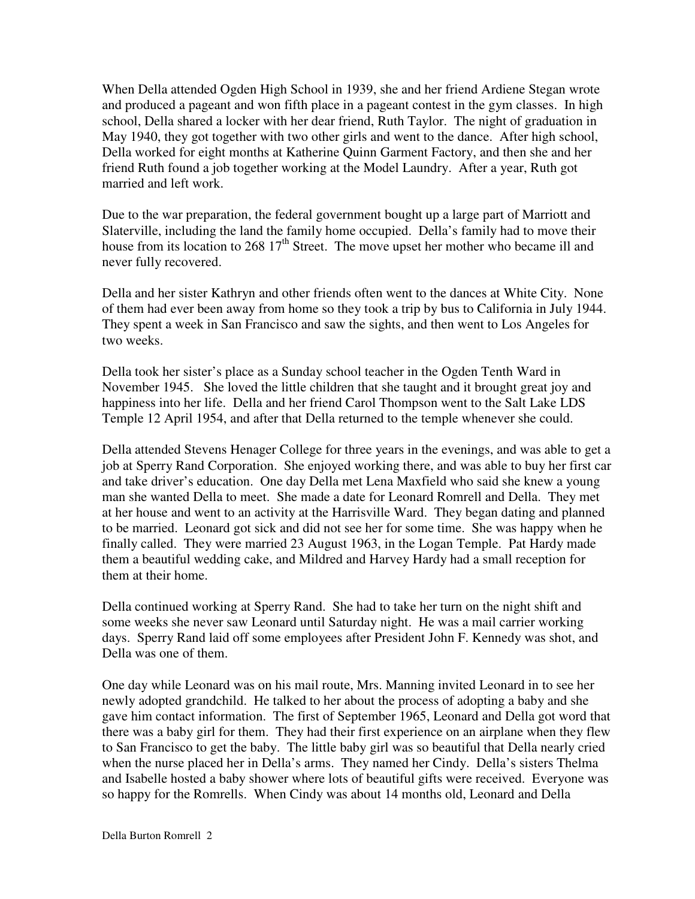When Della attended Ogden High School in 1939, she and her friend Ardiene Stegan wrote and produced a pageant and won fifth place in a pageant contest in the gym classes. In high school, Della shared a locker with her dear friend, Ruth Taylor. The night of graduation in May 1940, they got together with two other girls and went to the dance. After high school, Della worked for eight months at Katherine Quinn Garment Factory, and then she and her friend Ruth found a job together working at the Model Laundry. After a year, Ruth got married and left work.

Due to the war preparation, the federal government bought up a large part of Marriott and Slaterville, including the land the family home occupied. Della's family had to move their house from its location to 268  $17<sup>th</sup>$  Street. The move upset her mother who became ill and never fully recovered.

Della and her sister Kathryn and other friends often went to the dances at White City. None of them had ever been away from home so they took a trip by bus to California in July 1944. They spent a week in San Francisco and saw the sights, and then went to Los Angeles for two weeks.

Della took her sister's place as a Sunday school teacher in the Ogden Tenth Ward in November 1945. She loved the little children that she taught and it brought great joy and happiness into her life. Della and her friend Carol Thompson went to the Salt Lake LDS Temple 12 April 1954, and after that Della returned to the temple whenever she could.

Della attended Stevens Henager College for three years in the evenings, and was able to get a job at Sperry Rand Corporation. She enjoyed working there, and was able to buy her first car and take driver's education. One day Della met Lena Maxfield who said she knew a young man she wanted Della to meet. She made a date for Leonard Romrell and Della. They met at her house and went to an activity at the Harrisville Ward. They began dating and planned to be married. Leonard got sick and did not see her for some time. She was happy when he finally called. They were married 23 August 1963, in the Logan Temple. Pat Hardy made them a beautiful wedding cake, and Mildred and Harvey Hardy had a small reception for them at their home.

Della continued working at Sperry Rand. She had to take her turn on the night shift and some weeks she never saw Leonard until Saturday night. He was a mail carrier working days. Sperry Rand laid off some employees after President John F. Kennedy was shot, and Della was one of them.

One day while Leonard was on his mail route, Mrs. Manning invited Leonard in to see her newly adopted grandchild. He talked to her about the process of adopting a baby and she gave him contact information. The first of September 1965, Leonard and Della got word that there was a baby girl for them. They had their first experience on an airplane when they flew to San Francisco to get the baby. The little baby girl was so beautiful that Della nearly cried when the nurse placed her in Della's arms. They named her Cindy. Della's sisters Thelma and Isabelle hosted a baby shower where lots of beautiful gifts were received. Everyone was so happy for the Romrells. When Cindy was about 14 months old, Leonard and Della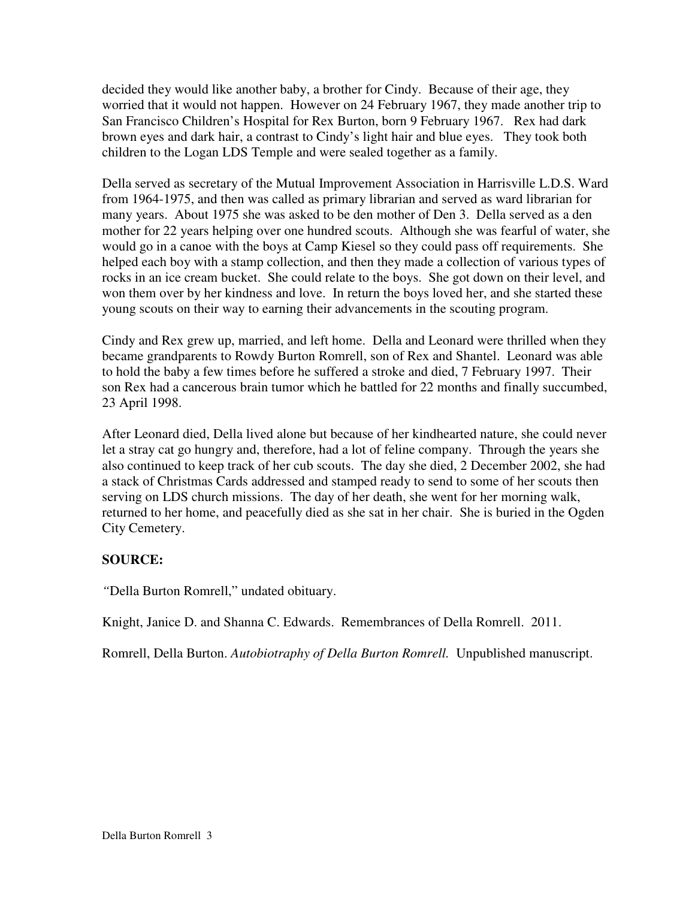decided they would like another baby, a brother for Cindy. Because of their age, they worried that it would not happen. However on 24 February 1967, they made another trip to San Francisco Children's Hospital for Rex Burton, born 9 February 1967. Rex had dark brown eyes and dark hair, a contrast to Cindy's light hair and blue eyes. They took both children to the Logan LDS Temple and were sealed together as a family.

Della served as secretary of the Mutual Improvement Association in Harrisville L.D.S. Ward from 1964-1975, and then was called as primary librarian and served as ward librarian for many years. About 1975 she was asked to be den mother of Den 3. Della served as a den mother for 22 years helping over one hundred scouts. Although she was fearful of water, she would go in a canoe with the boys at Camp Kiesel so they could pass off requirements. She helped each boy with a stamp collection, and then they made a collection of various types of rocks in an ice cream bucket. She could relate to the boys. She got down on their level, and won them over by her kindness and love. In return the boys loved her, and she started these young scouts on their way to earning their advancements in the scouting program.

Cindy and Rex grew up, married, and left home. Della and Leonard were thrilled when they became grandparents to Rowdy Burton Romrell, son of Rex and Shantel. Leonard was able to hold the baby a few times before he suffered a stroke and died, 7 February 1997. Their son Rex had a cancerous brain tumor which he battled for 22 months and finally succumbed, 23 April 1998.

After Leonard died, Della lived alone but because of her kindhearted nature, she could never let a stray cat go hungry and, therefore, had a lot of feline company. Through the years she also continued to keep track of her cub scouts. The day she died, 2 December 2002, she had a stack of Christmas Cards addressed and stamped ready to send to some of her scouts then serving on LDS church missions. The day of her death, she went for her morning walk, returned to her home, and peacefully died as she sat in her chair. She is buried in the Ogden City Cemetery.

## **SOURCE:**

*"*Della Burton Romrell," undated obituary.

Knight, Janice D. and Shanna C. Edwards. Remembrances of Della Romrell. 2011.

Romrell, Della Burton. *Autobiotraphy of Della Burton Romrell.* Unpublished manuscript.